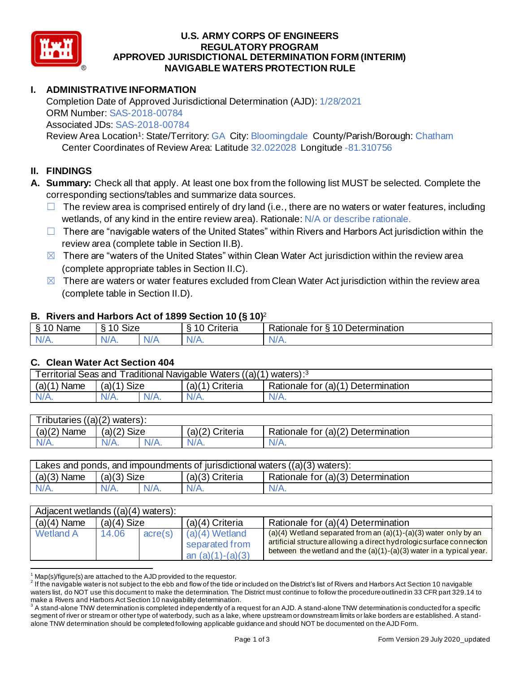

### **U.S. ARMY CORPS OF ENGINEERS APPROVED JURISDICTIONAL DETERMINATION FORM (INTERIM) NAVIGABLE WATERS PROTECTION RULE REGULATORY PROGRAM**

## **I. ADMINISTRATIVE INFORMATION**

 Completion Date of Approved Jurisdictional Determination (AJD): 1/28/2021 ORM Number: SAS-2018-00784 Associated JDs: SAS-2018-00784

Review Area Location<sup>1</sup>: State/Territory: GA City: Bloomingdale County/Parish/Borough: Chatham Center Coordinates of Review Area: Latitude 32.022028 Longitude -81.310756

### **II. FINDINGS**

- **A. Summary:** Check all that apply. At least one box from the following list MUST be selected. Complete the corresponding sections/tables and summarize data sources.
	- $\Box$  The review area is comprised entirely of dry land (i.e., there are no waters or water features, including wetlands, of any kind in the entire review area). Rationale: N/A or describe rationale.
	- □ There are "navigable waters of the United States" within Rivers and Harbors Act jurisdiction within the review area (complete table in Section II.B).
	- $\boxtimes$  There are "waters of the United States" within Clean Water Act jurisdiction within the review area (complete appropriate tables in Section II.C).
	- $\boxtimes$  There are waters or water features excluded from Clean Water Act jurisdiction within the review area (complete table in Section II.D).

#### **B. Rivers and Harbors Act of 1899 Section 10 (§ 10)**<sup>2</sup>

|                                   | $\cdot$                               |     |                    |                                                       |  |  |  |
|-----------------------------------|---------------------------------------|-----|--------------------|-------------------------------------------------------|--|--|--|
| $\sim$ $\sim$<br><b>Name</b><br>◠ | $\sim$ $\sim$ $\sim$<br>$\sim$<br>ס∟כ |     | $\sim$<br>`riteria | 0 Deter<br>-<br>≺atıonale<br>tor<br>etermination<br>↷ |  |  |  |
| -ND<br>$\sim$ M/ $\ell$ As        | 177<br>V/H.                           | N/r | ND.<br>11 / V      | N.<br>$\mathbf{v}$                                    |  |  |  |

#### **C. Clean Water Act Section 404**

| Traditional Navigable Waters ((a)(1)<br><b>Territorial Seas and</b><br>waters): <sup>3</sup> |               |         |                 |                                    |  |  |
|----------------------------------------------------------------------------------------------|---------------|---------|-----------------|------------------------------------|--|--|
| (a)(1)<br>Name                                                                               | $(a)(1)$ Size |         | (a)(1) Criteria | Rationale for (a)(1) Determination |  |  |
| $N/A$ .                                                                                      | $N/A$ .       | $N/A$ . | $N/A$ .         | N/A.                               |  |  |

| Tributaries<br>$:(a)(2)$ waters): |             |         |                    |                                    |  |  |
|-----------------------------------|-------------|---------|--------------------|------------------------------------|--|--|
| (a)(2)<br>Name                    | (a)(2) Size |         | (a)(2)<br>Criteria | Rationale for (a)(2) Determination |  |  |
|                                   | $N/A$ .     | $N/A$ . | $N/A$ .            | 97 A S                             |  |  |

| Lakes and ponds, and impoundments of jurisdictional waters $((a)(3)$ waters): |               |         |                 |                                    |  |  |
|-------------------------------------------------------------------------------|---------------|---------|-----------------|------------------------------------|--|--|
| $(a)(3)$ Name                                                                 | $(a)(3)$ Size |         | (a)(3) Criteria | Rationale for (a)(3) Determination |  |  |
| $N/A$ .                                                                       | $N/A$ .       | $N/A$ . | $N/A$ .         | $N/A$ .                            |  |  |

| Adjacent wetlands ((a)(4) waters): |               |         |                                                          |                                                                                                                                                                                                                     |  |
|------------------------------------|---------------|---------|----------------------------------------------------------|---------------------------------------------------------------------------------------------------------------------------------------------------------------------------------------------------------------------|--|
| $(a)(4)$ Name                      | $(a)(4)$ Size |         | $(a)(4)$ Criteria                                        | Rationale for (a)(4) Determination                                                                                                                                                                                  |  |
| <b>Wetland A</b>                   | 14.06         | acre(s) | $(a)(4)$ Wetland<br>separated from<br>an $(a)(1)-(a)(3)$ | $(a)(4)$ Wetland separated from an $(a)(1)-(a)(3)$ water only by an<br>artificial structure allowing a direct hydrologic surface connection<br>between the wetland and the $(a)(1)-(a)(3)$ water in a typical year. |  |

 $1$  Map(s)/figure(s) are attached to the AJD provided to the requestor.

 $^2$  If the navigable water is not subject to the ebb and flow of the tide or included on the District's list of Rivers and Harbors Act Section 10 navigable waters list, do NOT use this document to make the determination. The District must continue to follow the procedure outlined in 33 CFR part 329.14 to make a Rivers and Harbors Act Section 10 navigability determination.

 $^3$  A stand-alone TNW determination is completed independently of a request for an AJD. A stand-alone TNW determination is conducted for a specific segment of river or stream or other type of waterbody, such as a lake, where upstream or downstream limits or lake borders are established. A stand-alone TNW determination should be completed following applicable guidance and should NOT be documented on the AJD Form.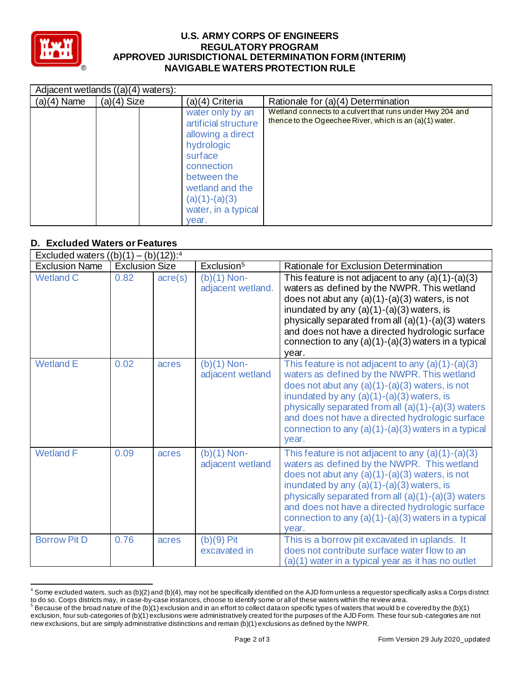

#### **U.S. ARMY CORPS OF ENGINEERS APPROVED JURISDICTIONAL DETERMINATION FORM (INTERIM) NAVIGABLE WATERS PROTECTION RULE REGULATORY PROGRAM**

|               | Adjacent wetlands ((a)(4) waters): |                                                                                                                                                                                           |                                                                                                                      |  |  |  |
|---------------|------------------------------------|-------------------------------------------------------------------------------------------------------------------------------------------------------------------------------------------|----------------------------------------------------------------------------------------------------------------------|--|--|--|
| $(a)(4)$ Name | $(a)(4)$ Size                      | (a)(4) Criteria                                                                                                                                                                           | Rationale for (a)(4) Determination                                                                                   |  |  |  |
|               |                                    | water only by an<br>artificial structure<br>allowing a direct<br>hydrologic<br>surface<br>connection<br>between the<br>wetland and the<br>$(a)(1)-(a)(3)$<br>water, in a typical<br>year. | Wetland connects to a culvert that runs under Hwy 204 and<br>thence to the Ogeechee River, which is an (a)(1) water. |  |  |  |

### **D. Excluded Waters or Features**

|                       | Excluded waters $((b)(1) - (b)(12))$ : <sup>4</sup> |                  |                                    |                                                                                                                                                                                                                                                                                                                                                                                    |  |  |
|-----------------------|-----------------------------------------------------|------------------|------------------------------------|------------------------------------------------------------------------------------------------------------------------------------------------------------------------------------------------------------------------------------------------------------------------------------------------------------------------------------------------------------------------------------|--|--|
| <b>Exclusion Name</b> | <b>Exclusion Size</b>                               |                  | Exclusion <sup>5</sup>             | Rationale for Exclusion Determination                                                                                                                                                                                                                                                                                                                                              |  |  |
| <b>Wetland C</b>      | 0.82                                                | $\text{acre}(s)$ | $(b)(1)$ Non-<br>adjacent wetland. | This feature is not adjacent to any $(a)(1)-(a)(3)$<br>waters as defined by the NWPR. This wetland<br>does not abut any $(a)(1)-(a)(3)$ waters, is not<br>inundated by any $(a)(1)-(a)(3)$ waters, is<br>physically separated from all $(a)(1)-(a)(3)$ waters<br>and does not have a directed hydrologic surface<br>connection to any $(a)(1)-(a)(3)$ waters in a typical<br>year. |  |  |
| <b>Wetland E</b>      | 0.02                                                | acres            | $(b)(1)$ Non-<br>adjacent wetland  | This feature is not adjacent to any $(a)(1)-(a)(3)$<br>waters as defined by the NWPR. This wetland<br>does not abut any $(a)(1)-(a)(3)$ waters, is not<br>inundated by any $(a)(1)-(a)(3)$ waters, is<br>physically separated from all $(a)(1)-(a)(3)$ waters<br>and does not have a directed hydrologic surface<br>connection to any $(a)(1)-(a)(3)$ waters in a typical<br>year. |  |  |
| <b>Wetland F</b>      | 0.09                                                | acres            | $(b)(1)$ Non-<br>adjacent wetland  | This feature is not adjacent to any $(a)(1)-(a)(3)$<br>waters as defined by the NWPR. This wetland<br>does not abut any $(a)(1)-(a)(3)$ waters, is not<br>inundated by any $(a)(1)-(a)(3)$ waters, is<br>physically separated from all $(a)(1)-(a)(3)$ waters<br>and does not have a directed hydrologic surface<br>connection to any $(a)(1)-(a)(3)$ waters in a typical<br>vear. |  |  |
| <b>Borrow Pit D</b>   | 0.76                                                | acres            | $(b)(9)$ Pit<br>excavated in       | This is a borrow pit excavated in uplands. It<br>does not contribute surface water flow to an<br>(a)(1) water in a typical year as it has no outlet                                                                                                                                                                                                                                |  |  |

 $^4$  Some excluded waters, such as (b)(2) and (b)(4), may not be specifically identified on the AJD form unless a requestor specifically asks a Corps district to do so. Corps districts may, in case-by-case instances, choose to identify some or all of these waters within the review area. to do so. Corps districts may, in case-by-case instances, choose to identify some or all of these waters within the review area.<br><sup>5</sup> Because of the broad nature of the (b)(1) exclusion and in an effort to collect dataon sp

 exclusion, four sub-categories of (b)(1) exclusions were administratively created for the purposes of the AJD Form. These four sub -categories are not new exclusions, but are simply administrative distinctions and remain (b)(1) exclusions as defined by the NWPR.